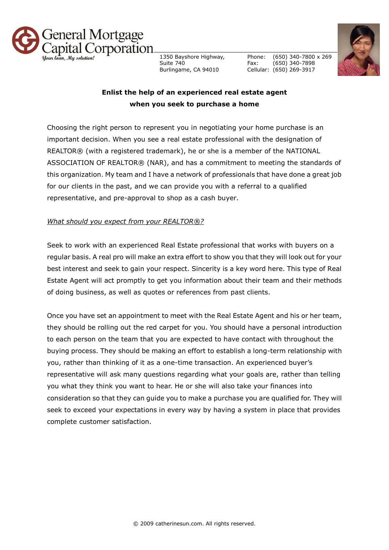

1350 Bayshore Highway, Suite 740 Burlingame, CA 94010

Phone: Fax: Cellular: (650) 269-3917 (650) 340-7800 x 269 (650) 340-7898



## **Enlist the help of an experienced real estate agent when you seek to purchase a home**

Choosing the right person to represent you in negotiating your home purchase is an important decision. When you see a real estate professional with the designation of REALTOR® (with a registered trademark), he or she is a member of the NATIONAL ASSOCIATION OF REALTOR® (NAR), and has a commitment to meeting the standards of this organization. My team and I have a network of professionals that have done a great job for our clients in the past, and we can provide you with a referral to a qualified representative, and pre-approval to shop as a cash buyer.

## *What should you expect from your REALTOR®?*

Seek to work with an experienced Real Estate professional that works with buyers on a regular basis. A real pro will make an extra effort to show you that they will look out for your best interest and seek to gain your respect. Sincerity is a key word here. This type of Real Estate Agent will act promptly to get you information about their team and their methods of doing business, as well as quotes or references from past clients.

Once you have set an appointment to meet with the Real Estate Agent and his or her team, they should be rolling out the red carpet for you. You should have a personal introduction to each person on the team that you are expected to have contact with throughout the buying process. They should be making an effort to establish a long-term relationship with you, rather than thinking of it as a one-time transaction. An experienced buyer's representative will ask many questions regarding what your goals are, rather than telling you what they think you want to hear. He or she will also take your finances into consideration so that they can guide you to make a purchase you are qualified for. They will seek to exceed your expectations in every way by having a system in place that provides complete customer satisfaction.